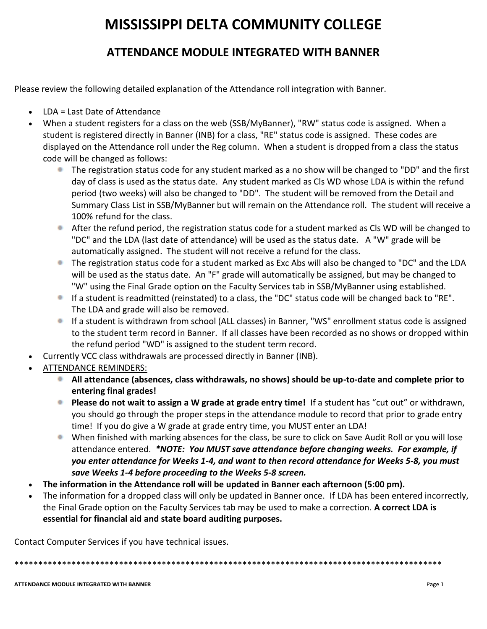# **MISSISSIPPI DELTA COMMUNITY COLLEGE**

## **ATTENDANCE MODULE INTEGRATED WITH BANNER**

Please review the following detailed explanation of the Attendance roll integration with Banner.

- LDA = Last Date of Attendance
- When a student registers for a class on the web (SSB/MyBanner), "RW" status code is assigned. When a student is registered directly in Banner (INB) for a class, "RE" status code is assigned. These codes are displayed on the Attendance roll under the Reg column. When a student is dropped from a class the status code will be changed as follows:
	- The registration status code for any student marked as a no show will be changed to "DD" and the first day of class is used as the status date. Any student marked as Cls WD whose LDA is within the refund period (two weeks) will also be changed to "DD". The student will be removed from the Detail and Summary Class List in SSB/MyBanner but will remain on the Attendance roll. The student will receive a 100% refund for the class.
	- After the refund period, the registration status code for a student marked as Cls WD will be changed to "DC" and the LDA (last date of attendance) will be used as the status date. A "W" grade will be automatically assigned. The student will not receive a refund for the class.
	- The registration status code for a student marked as Exc Abs will also be changed to "DC" and the LDA will be used as the status date. An "F" grade will automatically be assigned, but may be changed to "W" using the Final Grade option on the Faculty Services tab in SSB/MyBanner using established.
	- If a student is readmitted (reinstated) to a class, the "DC" status code will be changed back to "RE". The LDA and grade will also be removed.
	- **If a student is withdrawn from school (ALL classes) in Banner, "WS" enrollment status code is assigned** to the student term record in Banner. If all classes have been recorded as no shows or dropped within the refund period "WD" is assigned to the student term record.
- Currently VCC class withdrawals are processed directly in Banner (INB).
- ATTENDANCE REMINDERS:
	- **All attendance (absences, class withdrawals, no shows) should be up-to-date and complete prior to entering final grades!**
	- **Please do not wait to assign a W grade at grade entry time!** If a student has "cut out" or withdrawn, you should go through the proper steps in the attendance module to record that prior to grade entry time! If you do give a W grade at grade entry time, you MUST enter an LDA!
	- When finished with marking absences for the class, be sure to click on Save Audit Roll or you will lose attendance entered. *\*NOTE: You MUST save attendance before changing weeks. For example, if you enter attendance for Weeks 1-4, and want to then record attendance for Weeks 5-8, you must save Weeks 1-4 before proceeding to the Weeks 5-8 screen.*
- **The information in the Attendance roll will be updated in Banner each afternoon (5:00 pm).**
- The information for a dropped class will only be updated in Banner once. If LDA has been entered incorrectly, the Final Grade option on the Faculty Services tab may be used to make a correction. **A correct LDA is essential for financial aid and state board auditing purposes.**

Contact Computer Services if you have technical issues.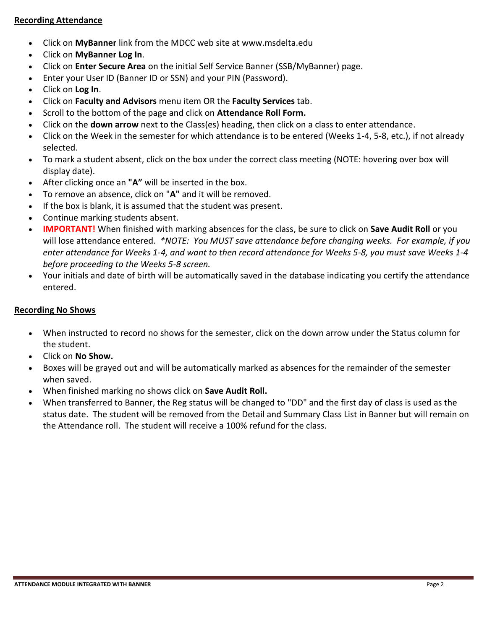#### **Recording Attendance**

- Click on **MyBanner** link from the MDCC web site at www.msdelta.edu
- Click on **MyBanner Log In**.
- Click on **Enter Secure Area** on the initial Self Service Banner (SSB/MyBanner) page.
- Enter your User ID (Banner ID or SSN) and your PIN (Password).
- Click on **Log In**.
- Click on **Faculty and Advisors** menu item OR the **Faculty Services** tab.
- Scroll to the bottom of the page and click on **Attendance Roll Form.**
- Click on the **down arrow** next to the Class(es) heading, then click on a class to enter attendance.
- Click on the Week in the semester for which attendance is to be entered (Weeks 1-4, 5-8, etc.), if not already selected.
- To mark a student absent, click on the box under the correct class meeting (NOTE: hovering over box will display date).
- After clicking once an **"A"** will be inserted in the box.
- To remove an absence, click on "**A"** and it will be removed.
- If the box is blank, it is assumed that the student was present.
- Continue marking students absent.
- **IMPORTANT!** When finished with marking absences for the class, be sure to click on **Save Audit Roll** or you will lose attendance entered. *\*NOTE: You MUST save attendance before changing weeks. For example, if you enter attendance for Weeks 1-4, and want to then record attendance for Weeks 5-8, you must save Weeks 1-4 before proceeding to the Weeks 5-8 screen.*
- Your initials and date of birth will be automatically saved in the database indicating you certify the attendance entered.

### **Recording No Shows**

- When instructed to record no shows for the semester, click on the down arrow under the Status column for the student.
- Click on **No Show.**
- Boxes will be grayed out and will be automatically marked as absences for the remainder of the semester when saved.
- When finished marking no shows click on **Save Audit Roll.**
- When transferred to Banner, the Reg status will be changed to "DD" and the first day of class is used as the status date. The student will be removed from the Detail and Summary Class List in Banner but will remain on the Attendance roll. The student will receive a 100% refund for the class.